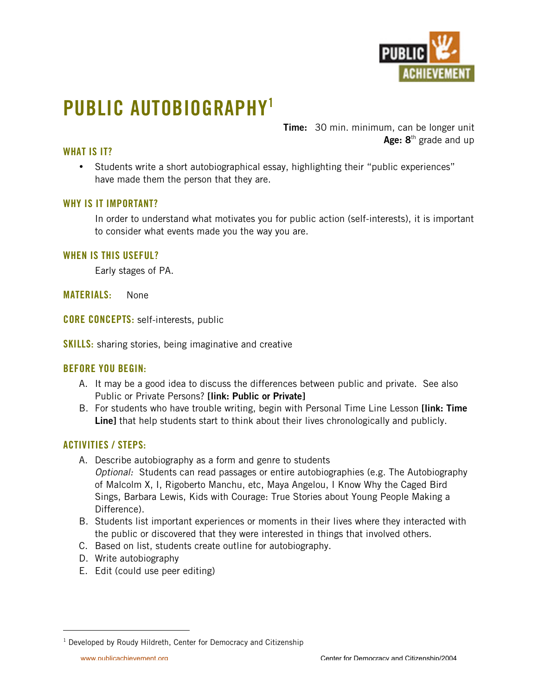

# **PUBLIC AUTOBIOGRAPHY1**

**Time:** 30 min. minimum, can be longer unit **Age: 8**th grade and up

## **WHAT IS IT?**

Students write a short autobiographical essay, highlighting their "public experiences" have made them the person that they are.

## **WHY IS IT IMPORTANT?**

In order to understand what motivates you for public action (self-interests), it is important to consider what events made you the way you are.

#### **WHEN IS THIS USEFUL?**

Early stages of PA.

**MATERIALS:** None

**CORE CONCEPTS:** self-interests, public

**SKILLS:** sharing stories, being imaginative and creative

## **BEFORE YOU BEGIN:**

- A. It may be a good idea to discuss the differences between public and private. See also Public or Private Persons? **[link: Public or Private]**
- B. For students who have trouble writing, begin with Personal Time Line Lesson **[link: Time Line]** that help students start to think about their lives chronologically and publicly.

## **ACTIVITIES / STEPS:**

- A. Describe autobiography as a form and genre to students *Optional:* Students can read passages or entire autobiographies (e.g. The Autobiography of Malcolm X, I, Rigoberto Manchu, etc, Maya Angelou, I Know Why the Caged Bird Sings, Barbara Lewis, Kids with Courage: True Stories about Young People Making a Difference).
- B. Students list important experiences or moments in their lives where they interacted with the public or discovered that they were interested in things that involved others.
- C. Based on list, students create outline for autobiography.
- D. Write autobiography
- E. Edit (could use peer editing)

 $\overline{1}$  $1$  Developed by Roudy Hildreth, Center for Democracy and Citizenship